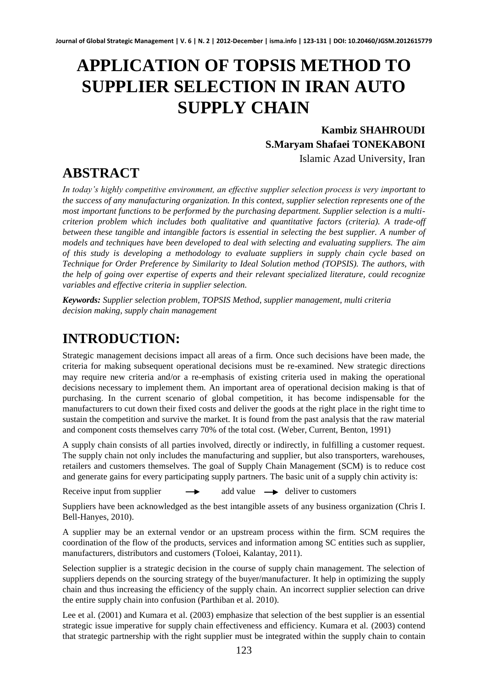# **APPLICATION OF TOPSIS METHOD TO SUPPLIER SELECTION IN IRAN AUTO SUPPLY CHAIN**

#### **Kambiz SHAHROUDI S.Maryam Shafaei TONEKABONI**

Islamic Azad University, Iran

## **ABSTRACT**

*In today's highly competitive environment, an effective supplier selection process is very important to the success of any manufacturing organization. In this context, supplier selection represents one of the most important functions to be performed by the purchasing department. Supplier selection is a multicriterion problem which includes both qualitative and quantitative factors (criteria). A trade-off between these tangible and intangible factors is essential in selecting the best supplier. A number of models and techniques have been developed to deal with selecting and evaluating suppliers. The aim of this study is developing a methodology to evaluate suppliers in supply chain cycle based on Technique for Order Preference by Similarity to Ideal Solution method (TOPSIS). The authors, with the help of going over expertise of experts and their relevant specialized literature, could recognize variables and effective criteria in supplier selection.* 

*Keywords: Supplier selection problem, TOPSIS Method, supplier management, multi criteria decision making, supply chain management*

### **INTRODUCTION:**

Strategic management decisions impact all areas of a firm. Once such decisions have been made, the criteria for making subsequent operational decisions must be re-examined. New strategic directions may require new criteria and/or a re-emphasis of existing criteria used in making the operational decisions necessary to implement them. An important area of operational decision making is that of purchasing. In the current scenario of global competition, it has become indispensable for the manufacturers to cut down their fixed costs and deliver the goods at the right place in the right time to sustain the competition and survive the market. It is found from the past analysis that the raw material and component costs themselves carry 70% of the total cost. (Weber, Current, Benton, 1991)

A supply chain consists of all parties involved, directly or indirectly, in fulfilling a customer request. The supply chain not only includes the manufacturing and supplier, but also transporters, warehouses, retailers and customers themselves. The goal of Supply Chain Management (SCM) is to reduce cost and generate gains for every participating supply partners. The basic unit of a supply chin activity is:

Receive input from supplier  $\rightarrow$  add value  $\rightarrow$  deliver to customers

Suppliers have been acknowledged as the best intangible assets of any business organization (Chris I. Bell-Hanyes, 2010).

A supplier may be an external vendor or an upstream process within the firm. SCM requires the coordination of the flow of the products, services and information among SC entities such as supplier, manufacturers, distributors and customers (Toloei, Kalantay, 2011).

Selection supplier is a strategic decision in the course of supply chain management. The selection of suppliers depends on the sourcing strategy of the buyer/manufacturer. It help in optimizing the supply chain and thus increasing the efficiency of the supply chain. An incorrect supplier selection can drive the entire supply chain into confusion (Parthiban et al. 2010).

Lee et al. (2001) and Kumara et al. (2003) emphasize that selection of the best supplier is an essential strategic issue imperative for supply chain effectiveness and efficiency. Kumara et al. (2003) contend that strategic partnership with the right supplier must be integrated within the supply chain to contain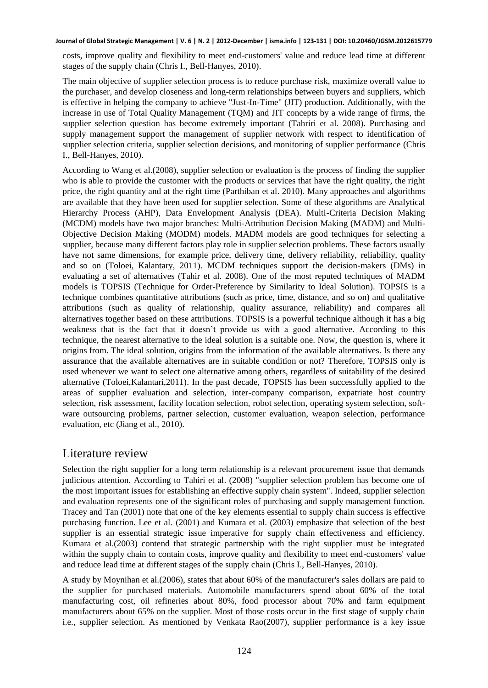costs, improve quality and flexibility to meet end-customers' value and reduce lead time at different stages of the supply chain (Chris I., Bell-Hanyes, 2010).

The main objective of supplier selection process is to reduce purchase risk, maximize overall value to the purchaser, and develop closeness and long-term relationships between buyers and suppliers, which is effective in helping the company to achieve "Just-In-Time" (JIT) production. Additionally, with the increase in use of Total Quality Management (TQM) and JIT concepts by a wide range of firms, the supplier selection question has become extremely important (Tahriri et al. 2008). Purchasing and supply management support the management of supplier network with respect to identification of supplier selection criteria, supplier selection decisions, and monitoring of supplier performance (Chris I., Bell-Hanyes, 2010).

According to Wang et al.(2008), supplier selection or evaluation is the process of finding the supplier who is able to provide the customer with the products or services that have the right quality, the right price, the right quantity and at the right time (Parthiban et al. 2010). Many approaches and algorithms are available that they have been used for supplier selection. Some of these algorithms are Analytical Hierarchy Process (AHP), Data Envelopment Analysis (DEA). Multi-Criteria Decision Making (MCDM) models have two major branches: Multi-Attribution Decision Making (MADM) and Multi-Objective Decision Making (MODM) models. MADM models are good techniques for selecting a supplier, because many different factors play role in supplier selection problems. These factors usually have not same dimensions, for example price, delivery time, delivery reliability, reliability, quality and so on (Toloei, Kalantary, 2011). MCDM techniques support the decision-makers (DMs) in evaluating a set of alternatives (Tahir et al. 2008). One of the most reputed techniques of MADM models is TOPSIS (Technique for Order-Preference by Similarity to Ideal Solution). TOPSIS is a technique combines quantitative attributions (such as price, time, distance, and so on) and qualitative attributions (such as quality of relationship, quality assurance, reliability) and compares all alternatives together based on these attributions. TOPSIS is a powerful technique although it has a big weakness that is the fact that it doesn't provide us with a good alternative. According to this technique, the nearest alternative to the ideal solution is a suitable one. Now, the question is, where it origins from. The ideal solution, origins from the information of the available alternatives. Is there any assurance that the available alternatives are in suitable condition or not? Therefore, TOPSIS only is used whenever we want to select one alternative among others, regardless of suitability of the desired alternative (Toloei,Kalantari,2011). In the past decade, TOPSIS has been successfully applied to the areas of supplier evaluation and selection, inter-company comparison, expatriate host country selection, risk assessment, facility location selection, robot selection, operating system selection, software outsourcing problems, partner selection, customer evaluation, weapon selection, performance evaluation, etc (Jiang et al., 2010).

#### Literature review

Selection the right supplier for a long term relationship is a relevant procurement issue that demands judicious attention. According to Tahiri et al. (2008) "supplier selection problem has become one of the most important issues for establishing an effective supply chain system". Indeed, supplier selection and evaluation represents one of the significant roles of purchasing and supply management function. Tracey and Tan (2001) note that one of the key elements essential to supply chain success is effective purchasing function. Lee et al. (2001) and Kumara et al. (2003) emphasize that selection of the best supplier is an essential strategic issue imperative for supply chain effectiveness and efficiency. Kumara et al.(2003) contend that strategic partnership with the right supplier must be integrated within the supply chain to contain costs, improve quality and flexibility to meet end-customers' value and reduce lead time at different stages of the supply chain (Chris I., Bell-Hanyes, 2010).

A study by Moynihan et al.(2006), states that about 60% of the manufacturer's sales dollars are paid to the supplier for purchased materials. Automobile manufacturers spend about 60% of the total manufacturing cost, oil refineries about 80%, food processor about 70% and farm equipment manufacturers about 65% on the supplier. Most of those costs occur in the first stage of supply chain i.e., supplier selection. As mentioned by Venkata Rao(2007), supplier performance is a key issue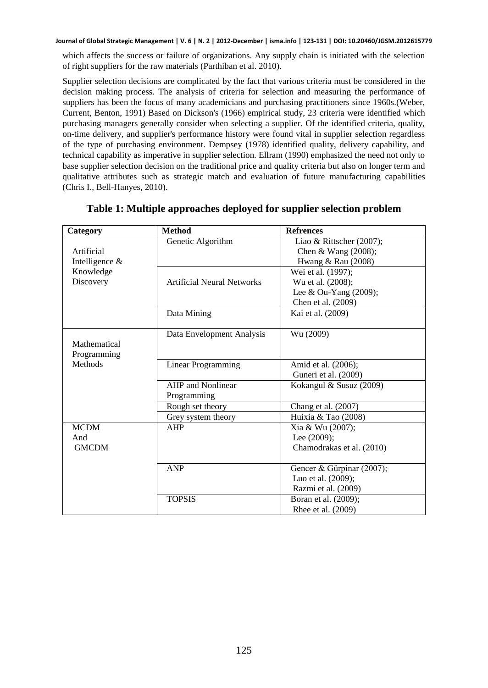which affects the success or failure of organizations. Any supply chain is initiated with the selection of right suppliers for the raw materials (Parthiban et al. 2010).

Supplier selection decisions are complicated by the fact that various criteria must be considered in the decision making process. The analysis of criteria for selection and measuring the performance of suppliers has been the focus of many academicians and purchasing practitioners since 1960s.(Weber, Current, Benton, 1991) Based on Dickson's (1966) empirical study, 23 criteria were identified which purchasing managers generally consider when selecting a supplier. Of the identified criteria, quality, on-time delivery, and supplier's performance history were found vital in supplier selection regardless of the type of purchasing environment. Dempsey (1978) identified quality, delivery capability, and technical capability as imperative in supplier selection. Ellram (1990) emphasized the need not only to base supplier selection decision on the traditional price and quality criteria but also on longer term and qualitative attributes such as strategic match and evaluation of future manufacturing capabilities (Chris I., Bell-Hanyes, 2010).

| Category       | <b>Method</b>                     | <b>Refrences</b>          |
|----------------|-----------------------------------|---------------------------|
|                | Genetic Algorithm                 | Liao & Rittscher (2007);  |
| Artificial     |                                   | Chen & Wang (2008);       |
| Intelligence & |                                   | Hwang & Rau (2008)        |
| Knowledge      |                                   | Wei et al. (1997);        |
| Discovery      | <b>Artificial Neural Networks</b> | Wu et al. (2008);         |
|                |                                   | Lee & Ou-Yang $(2009)$ ;  |
|                |                                   | Chen et al. (2009)        |
|                | Data Mining                       | Kai et al. (2009)         |
|                |                                   |                           |
|                | Data Envelopment Analysis         | Wu (2009)                 |
| Mathematical   |                                   |                           |
| Programming    |                                   |                           |
| <b>Methods</b> | <b>Linear Programming</b>         | Amid et al. (2006);       |
|                |                                   | Guneri et al. (2009)      |
|                | <b>AHP</b> and Nonlinear          | Kokangul & Susuz (2009)   |
|                | Programming                       |                           |
|                | Rough set theory                  | Chang et al. (2007)       |
|                | Grey system theory                | Huixia & Tao (2008)       |
| <b>MCDM</b>    | AHP                               | Xia & Wu (2007);          |
| And            |                                   | Lee (2009);               |
| <b>GMCDM</b>   |                                   | Chamodrakas et al. (2010) |
|                |                                   |                           |
|                | <b>ANP</b>                        | Gencer & Gürpinar (2007); |
|                |                                   | Luo et al. (2009);        |
|                |                                   | Razmi et al. (2009)       |
|                | <b>TOPSIS</b>                     | Boran et al. (2009);      |
|                |                                   | Rhee et al. (2009)        |

#### **Table 1: Multiple approaches deployed for supplier selection problem**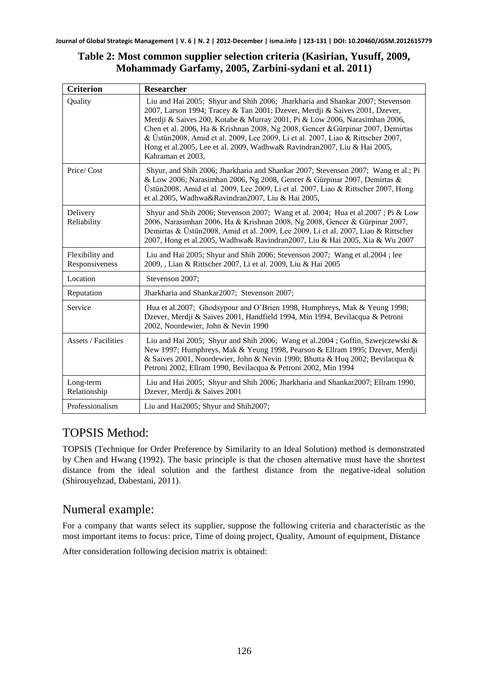#### **Table 2: Most common supplier selection criteria (Kasirian, Yusuff, 2009, Mohammady Garfamy, 2005, Zarbini-sydani et al. 2011)**

| <b>Criterion</b>                  | <b>Researcher</b>                                                                                                                                                                                                                                                                                                                                                                                                                                                                                                 |
|-----------------------------------|-------------------------------------------------------------------------------------------------------------------------------------------------------------------------------------------------------------------------------------------------------------------------------------------------------------------------------------------------------------------------------------------------------------------------------------------------------------------------------------------------------------------|
| Ouality                           | Liu and Hai 2005; Shyur and Shih 2006; Jharkharia and Shankar 2007; Stevenson<br>2007, Larson 1994; Tracey & Tan 2001; Dzever, Merdji & Saives 2001, Dzever,<br>Merdji & Saives 200, Kotabe & Murray 2001, Pi & Low 2006, Narasimhan 2006,<br>Chen et al. 2006, Ha & Krishnan 2008, Ng 2008, Gencer & Gürpinar 2007, Demirtas<br>& Üstün2008, Amid et al. 2009, Lee 2009, Li et al. 2007, Liao & Rittscher 2007,<br>Hong et al.2005, Lee et al. 2009, Wadhwa& Ravindran2007, Liu & Hai 2005,<br>Kahraman et 2003. |
| Price/Cost                        | Shyur, and Shih 2006; Jharkharia and Shankar 2007; Stevenson 2007; Wang et al.; Pi<br>& Low 2006; Narasimhan 2006, Ng 2008, Gencer & Gürpinar 2007, Demirtas &<br>Üstün2008, Amid et al. 2009, Lee 2009, Li et al. 2007, Liao & Rittscher 2007, Hong<br>et al.2005, Wadhwa&Ravindran2007, Liu & Hai 2005,                                                                                                                                                                                                         |
| Delivery<br>Reliability           | Shyur and Shih 2006; Stevenson 2007; Wang et al. 2004; Hua et al. 2007; Pi & Low<br>2006, Narasimhan 2006, Ha & Krishnan 2008, Ng 2008, Gencer & Gürpinar 2007,<br>Demirtas & Üstün2008, Amid et al. 2009, Lee 2009, Li et al. 2007, Liao & Rittscher<br>2007, Hong et al.2005, Wadhwa& Ravindran2007, Liu & Hai 2005, Xia & Wu 2007                                                                                                                                                                              |
| Flexibility and<br>Responsiveness | Liu and Hai 2005; Shyur and Shih 2006; Stevenson 2007; Wang et al. 2004; lee<br>2009, , Liao & Rittscher 2007, Li et al. 2009, Liu & Hai 2005                                                                                                                                                                                                                                                                                                                                                                     |
| Location                          | Stevenson 2007;                                                                                                                                                                                                                                                                                                                                                                                                                                                                                                   |
| Reputation                        | Jharkharia and Shankar2007; Stevenson 2007;                                                                                                                                                                                                                                                                                                                                                                                                                                                                       |
| Service                           | Hua et al. 2007; Ghodsypour and O'Brien 1998, Humphreys, Mak & Yeung 1998;<br>Dzever, Merdji & Saives 2001, Handfield 1994, Min 1994, Bevilacqua & Petroni<br>2002, Noordewier, John & Nevin 1990                                                                                                                                                                                                                                                                                                                 |
| <b>Assets / Facilities</b>        | Liu and Hai 2005; Shyur and Shih 2006; Wang et al. $2004$ ; Goffin, Szwejczewski &<br>New 1997; Humphreys, Mak & Yeung 1998, Pearson & Ellram 1995; Dzever, Merdji<br>& Saives 2001, Noordewier, John & Nevin 1990; Bhutta & Huq 2002; Bevilacqua &<br>Petroni 2002, Ellram 1990, Bevilacqua & Petroni 2002, Min 1994                                                                                                                                                                                             |
| Long-term<br>Relationship         | Liu and Hai 2005; Shyur and Shih 2006; Jharkharia and Shankar 2007; Ellram 1990,<br>Dzever, Merdji & Saives 2001                                                                                                                                                                                                                                                                                                                                                                                                  |
| Professionalism                   | Liu and Hai2005; Shyur and Shih2007;                                                                                                                                                                                                                                                                                                                                                                                                                                                                              |

### TOPSIS Method:

TOPSIS (Technique for Order Preference by Similarity to an Ideal Solution) method is demonstrated by Chen and Hwang (1992). The basic principle is that the chosen alternative must have the shortest distance from the ideal solution and the farthest distance from the negative-ideal solution (Shirouyehzad, Dabestani, 2011).

### Numeral example:

For a company that wants select its supplier, suppose the following criteria and characteristic as the most important items to focus: price, Time of doing project, Quality, Amount of equipment, Distance

After consideration following decision matrix is obtained: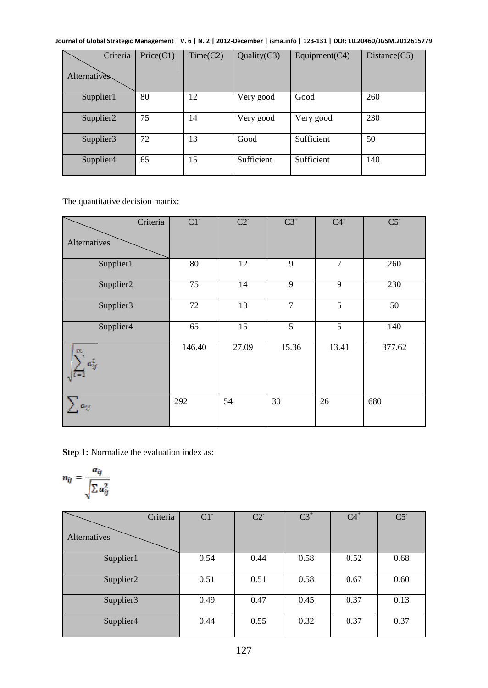| Criteria<br><b>Alternatives</b> | Price(C1) | Time(C2) | Quality $(C3)$ | Equipment $(C4)$ | Distance(C5) |
|---------------------------------|-----------|----------|----------------|------------------|--------------|
| Supplier1                       | 80        | 12       | Very good      | Good             | 260          |
| Supplier <sub>2</sub>           | 75        | 14       | Very good      | Very good        | 230          |
| Supplier3                       | 72        | 13       | Good           | Sufficient       | 50           |
| Supplier4                       | 65        | 15       | Sufficient     | Sufficient       | 140          |

The quantitative decision matrix:

| Criteria        | $C1$ <sup>-</sup> | $C2^{-}$ | $\overline{C3}^+$ | $C4^+$         | C5     |
|-----------------|-------------------|----------|-------------------|----------------|--------|
| Alternatives    |                   |          |                   |                |        |
| Supplier1       | 80                | 12       | 9                 | $\overline{7}$ | 260    |
| Supplier2       | 75                | 14       | 9                 | 9              | 230    |
| Supplier3       | 72                | 13       | $\overline{7}$    | 5              | 50     |
| Supplier4       | 65                | 15       | 5                 | 5              | 140    |
| m<br>$a_{ij}^2$ | 146.40            | 27.09    | 15.36             | 13.41          | 377.62 |
| $a_{ij}$        | 292               | 54       | 30                | 26             | 680    |

**Step 1:** Normalize the evaluation index as:

$$
n_{ij} = \frac{a_{ij}}{\sqrt{\sum a_{ij}^2}}
$$

| Criteria              | $C1$ <sup>-</sup> | $C2^{-}$ | $C3^+$ | $C4^+$ | $C5$ <sup>-</sup> |
|-----------------------|-------------------|----------|--------|--------|-------------------|
| Alternatives          |                   |          |        |        |                   |
| Supplier1             | 0.54              | 0.44     | 0.58   | 0.52   | 0.68              |
| Supplier <sub>2</sub> | 0.51              | 0.51     | 0.58   | 0.67   | 0.60              |
| Supplier3             | 0.49              | 0.47     | 0.45   | 0.37   | 0.13              |
| Supplier4             | 0.44              | 0.55     | 0.32   | 0.37   | 0.37              |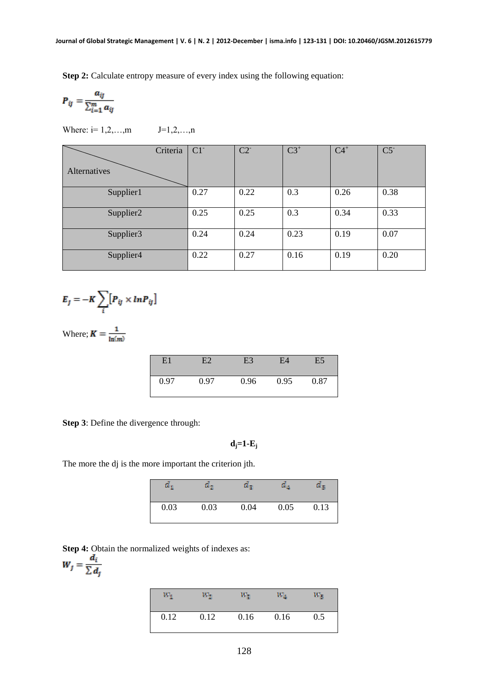**Step 2:** Calculate entropy measure of every index using the following equation:

$$
P_{ij} = \frac{a_{ij}}{\sum_{i=1}^m a_{ij}}
$$

Where:  $i=1,2,...,m$   $J=1,2,...,n$ 

| Criteria              | $C1$ <sup>-</sup> | $C2$ <sup>-</sup> | $C3^+$ | $C4^+$ | C5   |
|-----------------------|-------------------|-------------------|--------|--------|------|
| Alternatives          |                   |                   |        |        |      |
| Supplier1             | 0.27              | 0.22              | 0.3    | 0.26   | 0.38 |
| Supplier <sub>2</sub> | 0.25              | 0.25              | 0.3    | 0.34   | 0.33 |
| Supplier3             | 0.24              | 0.24              | 0.23   | 0.19   | 0.07 |
| Supplier4             | 0.22              | 0.27              | 0.16   | 0.19   | 0.20 |

$$
E_j = -K \sum_i [P_{ij} \times ln P_{ij}]
$$

Where;  $K = \frac{1}{\ln(m)}$ 

| E1   | ${\rm F}$ 2 | E3   | E4   | E5   |
|------|-------------|------|------|------|
| 0.97 | 0.97        | 0.96 | 0.95 | 0.87 |

**Step 3**: Define the divergence through:

$$
d_j = 1-E_j
$$

The more the dj is the more important the criterion jth.

| α.   | α.,  | $a_{\scriptscriptstyle 2}$ | а ,  |      |
|------|------|----------------------------|------|------|
| 0.03 | 0.03 | 0.04                       | 0.05 | 0.13 |

**Step 4:** Obtain the normalized weights of indexes as:

$$
W_j = \frac{a_i}{\sum d_j}
$$

| $\scriptstyle{W_4}$ | w.,  | $W_{\mathbb R}$ | $\scriptstyle{W_A}$ | w,  |
|---------------------|------|-----------------|---------------------|-----|
| 0.12                | 0.12 | 0.16            | 0.16                | 0.5 |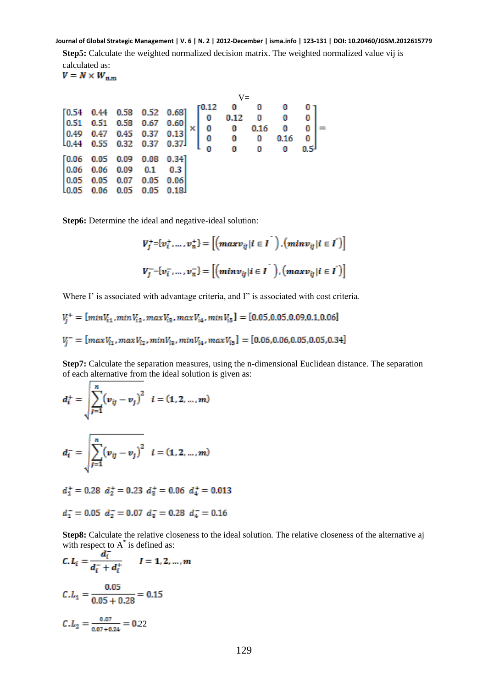**Step5:** Calculate the weighted normalized decision matrix. The weighted normalized value vij is calculated as:<br> $V = N \times W_{n,m}$ 

|  |                                                          |                                                                  |                                                                                                                                                                                                                                                                                                     |  | $V =$                                                                |      |                         |  |
|--|----------------------------------------------------------|------------------------------------------------------------------|-----------------------------------------------------------------------------------------------------------------------------------------------------------------------------------------------------------------------------------------------------------------------------------------------------|--|----------------------------------------------------------------------|------|-------------------------|--|
|  |                                                          |                                                                  | $[0.54 \t 0.44 \t 0.58 \t 0.52 \t 0.68]$                                                                                                                                                                                                                                                            |  | $\begin{bmatrix} 0.12 & 0 & 0 & 0 \\ 0 & 0.12 & 0 & 0 \end{bmatrix}$ |      |                         |  |
|  |                                                          |                                                                  |                                                                                                                                                                                                                                                                                                     |  |                                                                      |      | 0                       |  |
|  |                                                          |                                                                  |                                                                                                                                                                                                                                                                                                     |  |                                                                      |      | $\overline{\mathbf{0}}$ |  |
|  |                                                          |                                                                  |                                                                                                                                                                                                                                                                                                     |  |                                                                      | 0.16 | 0 <sup>1</sup>          |  |
|  |                                                          |                                                                  | $\begin{array}{c cccc} 0.54 & 0.44 & 0.56 & 0.52 & 0.06 \\ 0.51 & 0.51 & 0.58 & 0.67 & 0.60 \\ 0.49 & 0.47 & 0.45 & 0.37 & 0.13 \\ 0.44 & 0.55 & 0.32 & 0.37 & 0.37 \end{array} \times \begin{array}{c cccc} 0 & 0.12 & 0 & 0 \\ 0 & 0 & 0.16 & 0 \\ 0 & 0 & 0 & 0.16 \\ 0 & 0 & 0 & 0 \end{array}$ |  |                                                                      |      |                         |  |
|  |                                                          |                                                                  |                                                                                                                                                                                                                                                                                                     |  |                                                                      |      | 0.5 <sup>J</sup>        |  |
|  |                                                          | $[0.06 \t 0.05 \t 0.09 \t 0.08]$                                 | 0.34]                                                                                                                                                                                                                                                                                               |  |                                                                      |      |                         |  |
|  | $\begin{bmatrix} 0.06 & 0.06 & 0.09 & 0.1 \end{bmatrix}$ |                                                                  | $0.3$                                                                                                                                                                                                                                                                                               |  |                                                                      |      |                         |  |
|  |                                                          | $\begin{bmatrix} 0.05 & 0.05 & 0.07 & 0.05 & 0.06 \end{bmatrix}$ |                                                                                                                                                                                                                                                                                                     |  |                                                                      |      |                         |  |
|  |                                                          | $10.05$ $0.06$ $0.05$ $0.05$ $0.18$                              |                                                                                                                                                                                                                                                                                                     |  |                                                                      |      |                         |  |
|  |                                                          |                                                                  |                                                                                                                                                                                                                                                                                                     |  |                                                                      |      |                         |  |

**Step6:** Determine the ideal and negative-ideal solution:

$$
V_j^+ = \{v_i^+, ..., v_n^+\} = \left[ \left( \max v_{ij} | i \in I \right) , \left( \min v_{ij} | i \in I \right) \right]
$$
  

$$
V_j^- = \{v_i^-, ..., v_n^-\} = \left[ \left( \min v_{ij} | i \in I \right) , \left( \max v_{ij} | i \in I \right) \right]
$$

Where I' is associated with advantage criteria, and I" is associated with cost criteria.

$$
V_j^+ = [min V_{i1}, min V_{i2}, max V_{i3}, max V_{i4}, min V_{i5}] = [0.05, 0.05, 0.09, 0.1, 0.06]
$$
  

$$
V_j^- = [max V_{i1}, max V_{i2}, min V_{i3}, min V_{i4}, max V_{i5}] = [0.06, 0.06, 0.05, 0.05, 0.34]
$$

**Step7:** Calculate the separation measures, using the n-dimensional Euclidean distance. The separation of each alternative from the ideal solution is given as:

$$
d_i^+ = \sqrt{\sum_{j=1}^n (v_{ij} - v_j)^2} \quad i = (1, 2, ..., m)
$$

$$
d_i^- = \sqrt{\sum_{j=1}^n (v_{ij} - v_j)^2} \quad i = (1, 2, ..., m)
$$

 $d_1^+ = 0.28$   $d_2^+ = 0.23$   $d_3^+ = 0.06$   $d_4^+ = 0.013$ 

$$
d_1^- = 0.05 \, d_2^- = 0.07 \, d_3^- = 0.28 \, d_4^- = 0.16
$$

**Step8:** Calculate the relative closeness to the ideal solution. The relative closeness of the alternative aj with respect to  $A^*$  is defined as:

$$
C. L_i = \frac{a_i}{d_i^- + d_i^+} \qquad I = 1, 2, ..., m
$$
  

$$
C. L_1 = \frac{0.05}{0.05 + 0.28} = 0.15
$$
  

$$
C. L_2 = \frac{0.07}{0.07 + 0.24} = 0.22
$$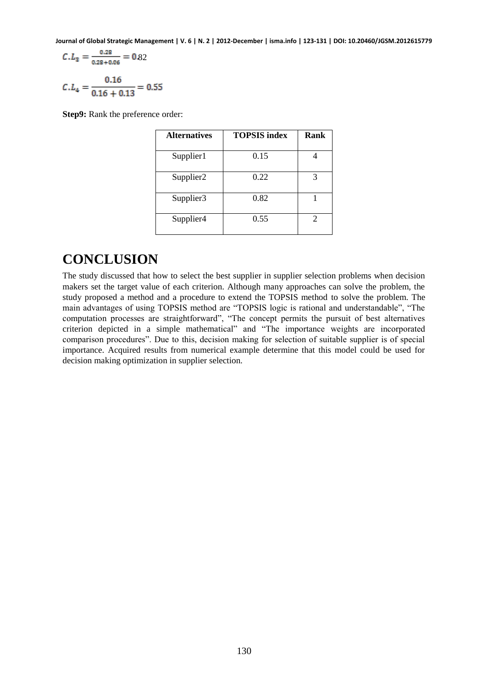$$
C.L_3 = \frac{0.28}{0.28 + 0.06} = 0.82
$$

$$
C.L_4 = \frac{0.16}{0.16 + 0.13} = 0.55
$$

**Step9:** Rank the preference order:

| <b>Alternatives</b> | <b>TOPSIS</b> index | Rank |
|---------------------|---------------------|------|
| Supplier1           | 0.15                |      |
| Supplier2           | 0.22                | 3    |
| Supplier3           | 0.82                |      |
| Supplier4           | 0.55                | 2    |

### **CONCLUSION**

The study discussed that how to select the best supplier in supplier selection problems when decision makers set the target value of each criterion. Although many approaches can solve the problem, the study proposed a method and a procedure to extend the TOPSIS method to solve the problem. The main advantages of using TOPSIS method are "TOPSIS logic is rational and understandable", "The computation processes are straightforward", "The concept permits the pursuit of best alternatives criterion depicted in a simple mathematical" and "The importance weights are incorporated comparison procedures". Due to this, decision making for selection of suitable supplier is of special importance. Acquired results from numerical example determine that this model could be used for decision making optimization in supplier selection.